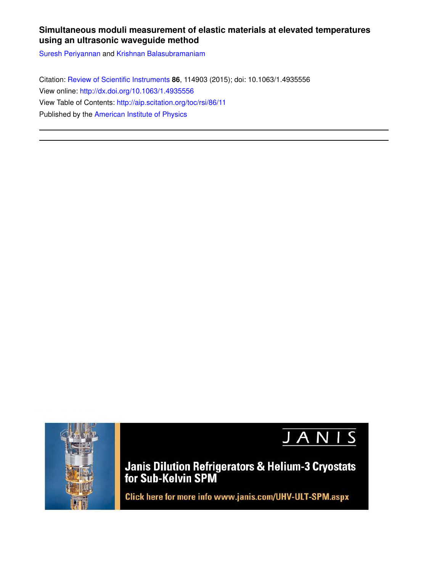# **Simultaneous moduli measurement of elastic materials at elevated temperatures using an ultrasonic waveguide method**

Suresh Periyannan and Krishnan Balasubramaniam

Citation: Review of Scientific Instruments **86**, 114903 (2015); doi: 10.1063/1.4935556 View online: http://dx.doi.org/10.1063/1.4935556 View Table of Contents: http://aip.scitation.org/toc/rsi/86/11 Published by the American Institute of Physics



JANIS

**Janis Dilution Refrigerators & Helium-3 Cryostats for Sub-Kelvin SPM** 

Click here for more info www.janis.com/UHV-ULT-SPM.aspx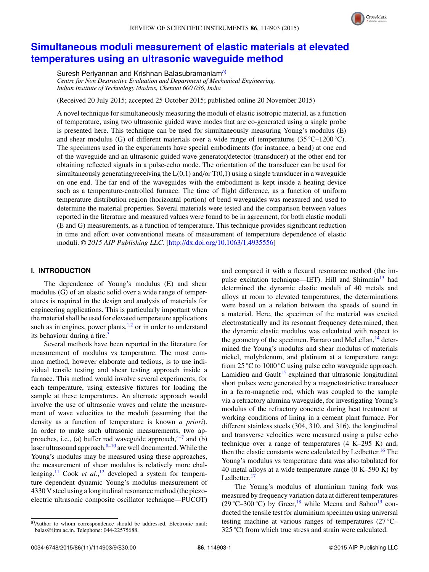

# **Simultaneous moduli measurement of elastic materials at elevated temperatures using an ultrasonic waveguide method**

Suresh Periyannan and Krishnan Balasubramaniam<sup>a)</sup>

*Centre for Non Destructive Evaluation and Department of Mechanical Engineering, Indian Institute of Technology Madras, Chennai 600 036, India*

(Received 20 July 2015; accepted 25 October 2015; published online 20 November 2015)

A novel technique for simultaneously measuring the moduli of elastic isotropic material, as a function of temperature, using two ultrasonic guided wave modes that are co-generated using a single probe is presented here. This technique can be used for simultaneously measuring Young's modulus (E) and shear modulus (G) of different materials over a wide range of temperatures (35 °C–1200 °C). The specimens used in the experiments have special embodiments (for instance, a bend) at one end of the waveguide and an ultrasonic guided wave generator/detector (transducer) at the other end for obtaining reflected signals in a pulse-echo mode. The orientation of the transducer can be used for simultaneously generating/receiving the  $L(0,1)$  and/or  $T(0,1)$  using a single transducer in a waveguide on one end. The far end of the waveguides with the embodiment is kept inside a heating device such as a temperature-controlled furnace. The time of flight difference, as a function of uniform temperature distribution region (horizontal portion) of bend waveguides was measured and used to determine the material properties. Several materials were tested and the comparison between values reported in the literature and measured values were found to be in agreement, for both elastic moduli (E and G) measurements, as a function of temperature. This technique provides significant reduction in time and effort over conventional means of measurement of temperature dependence of elastic moduli. <sup>C</sup> *2015 AIP Publishing LLC.* [http://dx.doi.org/10.1063/1.4935556]

## **I. INTRODUCTION**

The dependence of Young's modulus (E) and shear modulus (G) of an elastic solid over a wide range of temperatures is required in the design and analysis of materials for engineering applications. This is particularly important when the material shall be used for elevated temperature applications such as in engines, power plants, $1,2$  or in order to understand its behaviour during a fire.<sup>3</sup>

Several methods have been reported in the literature for measurement of modulus vs temperature. The most common method, however elaborate and tedious, is to use individual tensile testing and shear testing approach inside a furnace. This method would involve several experiments, for each temperature, using extensive fixtures for loading the sample at these temperatures. An alternate approach would involve the use of ultrasonic waves and relate the measurement of wave velocities to the moduli (assuming that the density as a function of temperature is known *a priori*). In order to make such ultrasonic measurements, two approaches, i.e., (a) buffer rod waveguide approach, $4-7$  and (b) laser ultrasound approach, $8-10$  are well documented. While the Young's modulus may be measured using these approaches, the measurement of shear modulus is relatively more challenging.<sup>11</sup> Cook *et al.*,<sup>12</sup> developed a system for temperature dependent dynamic Young's modulus measurement of 4330 V steel using a longitudinal resonance method (the piezoelectric ultrasonic composite oscillator technique—PUCOT) and compared it with a flexural resonance method (the impulse excitation technique—IET). Hill and Shimmin<sup>13</sup> had determined the dynamic elastic moduli of 40 metals and alloys at room to elevated temperatures; the determinations were based on a relation between the speeds of sound in a material. Here, the specimen of the material was excited electrostatically and its resonant frequency determined, then the dynamic elastic modulus was calculated with respect to the geometry of the specimen. Farraro and McLellan,<sup>14</sup> determined the Young's modulus and shear modulus of materials nickel, molybdenum, and platinum at a temperature range from 25 ◦C to 1000 ◦C using pulse echo waveguide approach. Lamidieu and Gault<sup>15</sup> explained that ultrasonic longitudinal short pulses were generated by a magnetostrictive transducer in a ferro-magnetic rod, which was coupled to the sample via a refractory alumina waveguide, for investigating Young's modulus of the refractory concrete during heat treatment at working conditions of lining in a cement plant furnace. For different stainless steels (304, 310, and 316), the longitudinal and transverse velocities were measured using a pulse echo technique over a range of temperatures (4 K–295 K) and, then the elastic constants were calculated by Ledbetter.<sup>16</sup> The Young's modulus vs temperature data was also tabulated for 40 metal alloys at a wide temperature range (0 K–590 K) by Ledbetter. $17$ 

The Young's modulus of aluminium tuning fork was measured by frequency variation data at different temperatures (29 °C–300 °C) by Greer,<sup>18</sup> while Meena and Sahoo<sup>19</sup> conducted the tensile test for aluminium specimen using universal testing machine at various ranges of temperatures (27 ◦C– 325 ℃) from which true stress and strain were calculated.

a)Author to whom correspondence should be addressed. Electronic mail: balas@iitm.ac.in. Telephone: 044-22575688.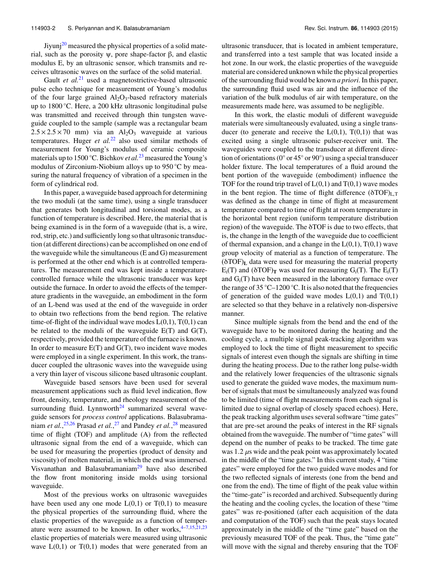Jiyunj $^{20}$  measured the physical properties of a solid material, such as the porosity ψ, pore shape-factor β, and elastic modulus E, by an ultrasonic sensor, which transmits and receives ultrasonic waves on the surface of the solid material.

Gault *et al.*<sup>21</sup> used a magnetostrictive-based ultrasonic pulse echo technique for measurement of Young's modulus of the four large grained  $Al_2O_3$ -based refractory materials up to 1800 ◦C. Here, a 200 kHz ultrasonic longitudinal pulse was transmitted and received through thin tungsten waveguide coupled to the sample (sample was a rectangular beam  $2.5 \times 2.5 \times 70$  mm) via an Al<sub>2</sub>O<sub>3</sub> waveguide at various temperatures. Huger *et al.*<sup>22</sup> also used similar methods of measurement for Young's modulus of ceramic composite materials up to 1500 ◦C. Bichkov *et al.*<sup>23</sup> measured the Young's modulus of Zirconium-Niobium alloys up to 950 ◦C by measuring the natural frequency of vibration of a specimen in the form of cylindrical rod.

In this paper, a waveguide based approach for determining the two moduli (at the same time), using a single transducer that generates both longitudinal and torsional modes, as a function of temperature is described. Here, the material that is being examined is in the form of a waveguide (that is, a wire, rod, strip, etc.) and sufficiently long so that ultrasonic transduction (at different directions) can be accomplished on one end of the waveguide while the simultaneous (E and G) measurement is performed at the other end which is at controlled temperatures. The measurement end was kept inside a temperaturecontrolled furnace while the ultrasonic transducer was kept outside the furnace. In order to avoid the effects of the temperature gradients in the waveguide, an embodiment in the form of an L-bend was used at the end of the waveguide in order to obtain two reflections from the bend region. The relative time-of-flight of the individual wave modes  $L(0,1)$ ,  $T(0,1)$  can be related to the moduli of the waveguide  $E(T)$  and  $G(T)$ , respectively, provided the temperature of the furnace is known. In order to measure  $E(T)$  and  $G(T)$ , two incident wave modes were employed in a single experiment. In this work, the transducer coupled the ultrasonic waves into the waveguide using a very thin layer of viscous silicone based ultrasonic couplant.

Waveguide based sensors have been used for several measurement applications such as fluid level indication, flow front, density, temperature, and rheology measurement of the surrounding fluid. Lynnworth $24$  summarized several waveguide sensors for *process control* applications. Balasubramaniam *et al.*, 25,26 Prasad *et al.*, <sup>27</sup> and Pandey *et al.*, <sup>28</sup> measured time of flight (TOF) and amplitude (A) from the reflected ultrasonic signal from the end of a waveguide, which can be used for measuring the properties (product of density and viscosity) of molten material, in which the end was immersed. Visvanathan and Balasubramaniam $^{29}$  have also described the flow front monitoring inside molds using torsional waveguide.

Most of the previous works on ultrasonic waveguides have been used any one mode  $L(0,1)$  or  $T(0,1)$  to measure the physical properties of the surrounding fluid, where the elastic properties of the waveguide as a function of temperature were assumed to be known. In other works,  $4-7,15,21,23$ elastic properties of materials were measured using ultrasonic wave  $L(0,1)$  or  $T(0,1)$  modes that were generated from an ultrasonic transducer, that is located in ambient temperature, and transferred into a test sample that was located inside a hot zone. In our work, the elastic properties of the waveguide material are considered unknown while the physical properties of the surrounding fluid would be known *a priori*. In this paper, the surrounding fluid used was air and the influence of the variation of the bulk modulus of air with temperature, on the measurements made here, was assumed to be negligible.

In this work, the elastic moduli of different waveguide materials were simultaneously evaluated, using a single transducer (to generate and receive the  $L(0,1)$ ,  $T(0,1)$ ) that was excited using a single ultrasonic pulser-receiver unit. The waveguides were coupled to the transducer at different direction of orientations ( $0^{\circ}$  or 45 $^{\circ}$  or 90 $^{\circ}$ ) using a special transducer holder fixture. The local temperatures of a fluid around the bent portion of the waveguide (embodiment) influence the TOF for the round trip travel of  $L(0,1)$  and  $T(0,1)$  wave modes in the bent region. The time of flight difference  $(\delta TOF)_{L,T}$ was defined as the change in time of flight at measurement temperature compared to time of flight at room temperature in the horizontal bent region (uniform temperature distribution region) of the waveguide. The δTOF is due to two effects, that is, the change in the length of the waveguide due to coefficient of thermal expansion, and a change in the  $L(0,1)$ ,  $T(0,1)$  wave group velocity of material as a function of temperature. The (δTOF)<sup>L</sup> data were used for measuring the material property  $E_i(T)$  and  $(\delta TOF)_T$  was used for measuring  $G_i(T)$ . The  $E_i(T)$ and  $G_i(T)$  have been measured in the laboratory furnace over the range of 35 °C–1200 °C. It is also noted that the frequencies of generation of the guided wave modes  $L(0,1)$  and  $T(0,1)$ are selected so that they behave in a relatively non-dispersive manner.

Since multiple signals from the bend and the end of the waveguide have to be monitored during the heating and the cooling cycle, a multiple signal peak-tracking algorithm was employed to lock the time of flight measurement to specific signals of interest even though the signals are shifting in time during the heating process. Due to the rather long pulse-width and the relatively lower frequencies of the ultrasonic signals used to generate the guided wave modes, the maximum number of signals that must be simultaneously analyzed was found to be limited (time of flight measurements from each signal is limited due to signal overlap of closely spaced echoes). Here, the peak tracking algorithm uses several software "time gates" that are pre-set around the peaks of interest in the RF signals obtained from the waveguide. The number of "time gates" will depend on the number of peaks to be tracked. The time gate was  $1.2 \mu s$  wide and the peak point was approximately located in the middle of the "time gates." In this current study, 4 "time gates" were employed for the two guided wave modes and for the two reflected signals of interests (one from the bend and one from the end). The time of flight of the peak value within the "time-gate" is recorded and archived. Subsequently during the heating and the cooling cycles, the location of these "time gates" was re-positioned (after each acquisition of the data and computation of the TOF) such that the peak stays located approximately in the middle of the "time gate" based on the previously measured TOF of the peak. Thus, the "time gate" will move with the signal and thereby ensuring that the TOF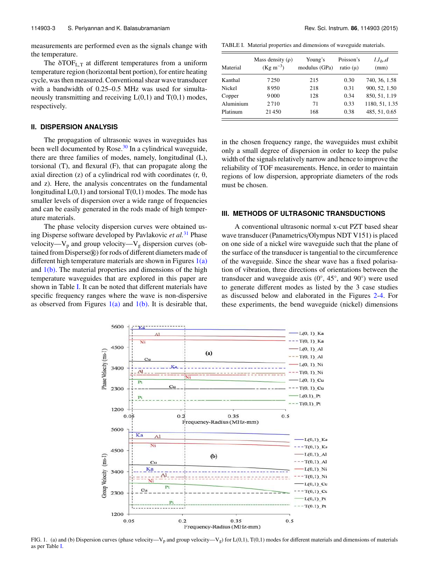measurements are performed even as the signals change with the temperature.

The  $\delta TOF_{L,T}$  at different temperatures from a uniform temperature region (horizontal bent portion), for entire heating cycle, was then measured. Conventional shear wave transducer with a bandwidth of 0.25–0.5 MHz was used for simultaneously transmitting and receiving  $L(0,1)$  and  $T(0,1)$  modes, respectively.

# **II. DISPERSION ANALYSIS**

The propagation of ultrasonic waves in waveguides has been well documented by Rose. $30$  In a cylindrical waveguide, there are three families of modes, namely, longitudinal (L), torsional (T), and flexural (F), that can propagate along the axial direction (z) of a cylindrical rod with coordinates (r,  $θ$ , and z). Here, the analysis concentrates on the fundamental longitudinal  $L(0,1)$  and torsional  $T(0,1)$  modes. The mode has smaller levels of dispersion over a wide range of frequencies and can be easily generated in the rods made of high temperature materials.

The phase velocity dispersion curves were obtained using Disperse software developed by Pavlakovic *et al.*<sup>31</sup> Phase velocity—V<sub>p</sub> and group velocity—V<sub>g</sub> dispersion curves (obtained from Disperse®) for rods of different diameters made of different high temperature materials are shown in Figures  $1(a)$ and  $1(b)$ . The material properties and dimensions of the high temperature waveguides that are explored in this paper are shown in Table I. It can be noted that different materials have specific frequency ranges where the wave is non-dispersive as observed from Figures  $1(a)$  and  $1(b)$ . It is desirable that,

TABLE I. Material properties and dimensions of waveguide materials.

| Material  | Mass density $(\rho)$<br>$(Kg \, m^{-3})$ | Young's<br>modulus (GPa) | Poisson's<br>ratio $(\mu)$ | $l.l_b.d$<br>(mm) |
|-----------|-------------------------------------------|--------------------------|----------------------------|-------------------|
| Kanthal   | 7250                                      | 215                      | 0.30                       | 740, 36, 1.58     |
| Nickel    | 8950                                      | 218                      | 0.31                       | 900, 52, 1.50     |
| Copper    | 9000                                      | 128                      | 0.34                       | 850, 51, 1.19     |
| Aluminium | 2710                                      | 71                       | 0.33                       | 1180, 51, 1.35    |
| Platinum  | 21450                                     | 168                      | 0.38                       | 485, 51, 0.65     |

in the chosen frequency range, the waveguides must exhibit only a small degree of dispersion in order to keep the pulse width of the signals relatively narrow and hence to improve the reliability of TOF measurements. Hence, in order to maintain regions of low dispersion, appropriate diameters of the rods must be chosen.

# **III. METHODS OF ULTRASONIC TRANSDUCTIONS**

A conventional ultrasonic normal x-cut PZT based shear wave transducer (Panametrics/Olympus NDT V151) is placed on one side of a nickel wire waveguide such that the plane of the surface of the transducer is tangential to the circumference of the waveguide. Since the shear wave has a fixed polarisation of vibration, three directions of orientations between the transducer and waveguide axis  $(0^{\circ}, 45^{\circ},$  and  $90^{\circ})$  were used to generate different modes as listed by the 3 case studies as discussed below and elaborated in the Figures 2-4. For these experiments, the bend waveguide (nickel) dimensions



FIG. 1. (a) and (b) Dispersion curves (phase velocity—V<sub>p</sub> and group velocity—V<sub>g</sub>) for L(0,1), T(0,1) modes for different materials and dimensions of materials as per Table I.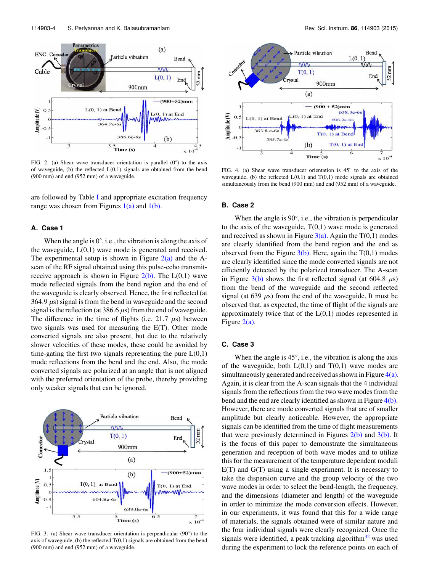

FIG. 2. (a) Shear wave transducer orientation is parallel  $(0^{\circ})$  to the axis of waveguide, (b) the reflected  $L(0,1)$  signals are obtained from the bend (900 mm) and end (952 mm) of a waveguide.

are followed by Table I and appropriate excitation frequency range was chosen from Figures  $1(a)$  and  $1(b)$ .

#### **A. Case 1**

When the angle is  $0^\circ$ , i.e., the vibration is along the axis of the waveguide,  $L(0,1)$  wave mode is generated and received. The experimental setup is shown in Figure  $2(a)$  and the Ascan of the RF signal obtained using this pulse-echo transmitreceive approach is shown in Figure  $2(b)$ . The  $L(0,1)$  wave mode reflected signals from the bend region and the end of the waveguide is clearly observed. Hence, the first reflected (at 364.9  $\mu$ s) signal is from the bend in waveguide and the second signal is the reflection (at 386.6  $\mu$ s) from the end of waveguide. The difference in the time of flights (i.e.  $21.7 \mu s$ ) between two signals was used for measuring the E(T). Other mode converted signals are also present, but due to the relatively slower velocities of these modes, these could be avoided by time-gating the first two signals representing the pure  $L(0,1)$ mode reflections from the bend and the end. Also, the mode converted signals are polarized at an angle that is not aligned with the preferred orientation of the probe, thereby providing only weaker signals that can be ignored.



FIG. 3. (a) Shear wave transducer orientation is perpendicular (90°) to the axis of waveguide, (b) the reflected  $T(0,1)$  signals are obtained from the bend (900 mm) and end (952 mm) of a waveguide.



FIG. 4. (a) Shear wave transducer orientation is 45◦ to the axis of the waveguide, (b) the reflected  $L(0,1)$  and  $T(0,1)$  mode signals are obtained simultaneously from the bend (900 mm) and end (952 mm) of a waveguide.

#### **B. Case 2**

When the angle is 90°, i.e., the vibration is perpendicular to the axis of the waveguide,  $T(0,1)$  wave mode is generated and received as shown in Figure  $3(a)$ . Again the T(0,1) modes are clearly identified from the bend region and the end as observed from the Figure  $3(b)$ . Here, again the T(0,1) modes are clearly identified since the mode converted signals are not efficiently detected by the polarized transducer. The A-scan in Figure  $3(b)$  shows the first reflected signal (at 604.8  $\mu$ s) from the bend of the waveguide and the second reflected signal (at 639  $\mu$ s) from the end of the waveguide. It must be observed that, as expected, the time of flight of the signals are approximately twice that of the  $L(0,1)$  modes represented in Figure 2(a).

## **C. Case 3**

When the angle is 45°, i.e., the vibration is along the axis of the waveguide, both  $L(0,1)$  and  $T(0,1)$  wave modes are simultaneously generated and received as shown in Figure  $4(a)$ . Again, it is clear from the A-scan signals that the 4 individual signals from the reflections from the two wave modes from the bend and the end are clearly identified as shown in Figure 4(b). However, there are mode converted signals that are of smaller amplitude but clearly noticeable. However, the appropriate signals can be identified from the time of flight measurements that were previously determined in Figures  $2(b)$  and  $3(b)$ . It is the focus of this paper to demonstrate the simultaneous generation and reception of both wave modes and to utilize this for the measurement of the temperature dependent moduli E(T) and G(T) using a single experiment. It is necessary to take the dispersion curve and the group velocity of the two wave modes in order to select the bend-length, the frequency, and the dimensions (diameter and length) of the waveguide in order to minimize the mode conversion effects. However, in our experiments, it was found that this for a wide range of materials, the signals obtained were of similar nature and the four individual signals were clearly recognized. Once the signals were identified, a peak tracking algorithm $32$  was used during the experiment to lock the reference points on each of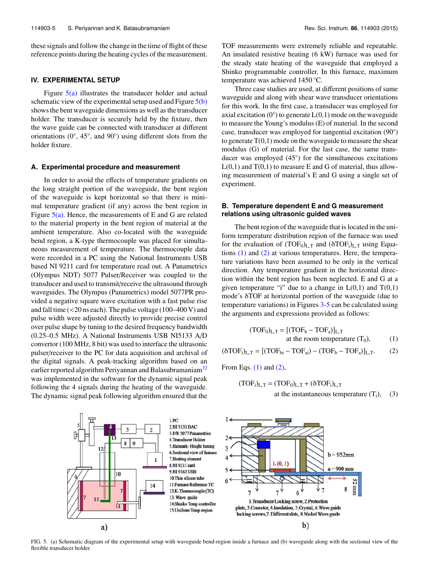these signals and follow the change in the time of flight of these reference points during the heating cycles of the measurement.

#### **IV. EXPERIMENTAL SETUP**

Figure 5(a) illustrates the transducer holder and actual schematic view of the experimental setup used and Figure 5(b) shows the bent waveguide dimensions as well as the transducer holder. The transducer is securely held by the fixture, then the wave guide can be connected with transducer at different orientations (0◦ , 45◦ , and 90◦ ) using different slots from the holder fixture.

#### **A. Experimental procedure and measurement**

In order to avoid the effects of temperature gradients on the long straight portion of the waveguide, the bent region of the waveguide is kept horizontal so that there is minimal temperature gradient (if any) across the bent region in Figure  $5(a)$ . Hence, the measurements of E and G are related to the material property in the bent region of material at the ambient temperature. Also co-located with the waveguide bend region, a K-type thermocouple was placed for simultaneous measurement of temperature. The thermocouple data were recorded in a PC using the National Instruments USB based NI 9211 card for temperature read out. A Panametrics (Olympus NDT) 5077 Pulser/Receiver was coupled to the transducer and used to transmit/receive the ultrasound through waveguides. The Olympus (Panametrics) model 5077PR provided a negative square wave excitation with a fast pulse rise and fall time (<20 ns each). The pulse voltage (100–400 V) and pulse width were adjusted directly to provide precise control over pulse shape by tuning to the desired frequency bandwidth (0.25–0.5 MHz). A National Instruments USB NI5133 A/D convertor (100 MHz, 8 bit) was used to interface the ultrasonic pulser/receiver to the PC for data acquisition and archival of the digital signals. A peak-tracking algorithm based on an earlier reported algorithm Periyannan and Balasubramaniam<sup>32</sup> was implemented in the software for the dynamic signal peak following the 4 signals during the heating of the waveguide. The dynamic signal peak following algorithm ensured that the TOF measurements were extremely reliable and repeatable. An insulated resistive heating (6 kW) furnace was used for the steady state heating of the waveguide that employed a Shinko programmable controller. In this furnace, maximum temperature was achieved 1450 ◦C.

Three case studies are used, at different positions of same waveguide and along with shear wave transducer orientations for this work. In the first case, a transducer was employed for axial excitation ( $0^\circ$ ) to generate  $L(0,1)$  mode on the waveguide to measure the Young's modulus (E) of material. In the second case, transducer was employed for tangential excitation (90◦ ) to generate  $T(0,1)$  mode on the waveguide to measure the shear modulus (G) of material. For the last case, the same transducer was employed (45◦ ) for the simultaneous excitations  $L(0,1)$  and  $T(0,1)$  to measure E and G of material, thus allowing measurement of material's E and G using a single set of experiment.

# **B. Temperature dependent E and G measurement relations using ultrasonic guided waves**

The bent region of the waveguide that is located in the uniform temperature distribution region of the furnace was used for the evaluation of  $(TOF_0)_{L,T}$  and  $(\delta TOF_i)_{L,T}$  using Equations  $(1)$  and  $(2)$  at various temperatures. Here, the temperature variations have been assumed to be only in the vertical direction. Any temperature gradient in the horizontal direction within the bent region has been neglected. E and G at a given temperature "i" due to a change in  $L(0,1)$  and  $T(0,1)$ mode's δTOF at horizontal portion of the waveguide (due to temperature variations) in Figures 3-5 can be calculated using the arguments and expressions provided as follows:

$$
(\text{TOF}_0)_{L,T} = [(\text{TOF}_b - \text{TOF}_a)]_{L,T}
$$
  
at the room temperature (T<sub>0</sub>), (1)

 $(\delta \text{TOF}_i)_{L,T} = [(\text{TOF}_{bi} - \text{TOF}_{ai}) - (\text{TOF}_b - \text{TOF}_a)]_{L,T}.$  (2)

From Eqs.  $(1)$  and  $(2)$ ,

$$
(\text{TOF}_{i})_{L,T} = (\text{TOF}_{0})_{L,T} + (\delta \text{TOF}_{i})_{L,T}
$$
  
at the instantaneous temperature (T<sub>i</sub>), (3)



FIG. 5. (a) Schematic diagram of the experimental setup with waveguide bend-region inside a furnace and (b) waveguide along with the sectional view of the flexible transducer holder.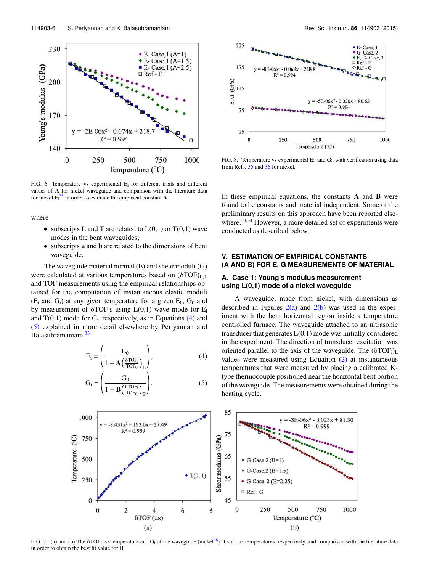

FIG. 6. Temperature vs experimental Ei for different trials and different values of A for nickel waveguide and comparison with the literature data for nickel  $E_i^{35}$  in order to evaluate the empirical constant **A**.

where

- subscripts L and T are related to  $L(0,1)$  or  $T(0,1)$  wave modes in the bent waveguides;
- subscripts a and b are related to the dimensions of bent waveguide.

The waveguide material normal (E) and shear moduli (G) were calculated at various temperatures based on  $(\delta TOF)_{L,T}$ and TOF measurements using the empirical relationships obtained for the computation of instantaneous elastic moduli  $(E_i$  and  $G_i$ ) at any given temperature for a given  $E_0$ ,  $G_0$  and by measurement of  $\delta$ TOF's using  $L(0,1)$  wave mode for  $E_i$ and  $T(0,1)$  mode for  $G_i$ , respectively, as in Equations  $(4)$  and (5) explained in more detail elsewhere by Periyannan and Balasubramaniam,  $33$ 

$$
E_i = \left(\frac{E_0}{1 + A\left(\frac{\delta TOF_i}{TOF_0}\right)_L}\right),\tag{4}
$$

$$
G_{i} = \left(\frac{G_{0}}{1 + B\left(\frac{\delta TOF_{i}}{TOF_{0}}\right)_{T}}\right).
$$
 (5)



FIG. 8. Temperature vs experimental  $E_i$ , and  $G_i$ , with verification using data from Refs. 35 and 36 for nickel.

In these empirical equations, the constants  $\bf{A}$  and  $\bf{B}$  were found to be constants and material independent. Some of the preliminary results on this approach have been reported elsewhere.<sup>33,34</sup> However, a more detailed set of experiments were conducted as described below.

# **V. ESTIMATION OF EMPIRICAL CONSTANTS (A AND B) FOR E, G MEASUREMENTS OF MATERIAL**

# **A. Case 1: Young's modulus measurement using L(0,1) mode of a nickel waveguide**

A waveguide, made from nickel, with dimensions as described in Figures  $2(a)$  and  $2(b)$  was used in the experiment with the bent horizontal region inside a temperature controlled furnace. The waveguide attached to an ultrasonic transducer that generates  $L(0,1)$  mode was initially considered in the experiment. The direction of transducer excitation was oriented parallel to the axis of the waveguide. The  $(\delta TOF_i)_L$ values were measured using Equation (2) at instantaneous temperatures that were measured by placing a calibrated Ktype thermocouple positioned near the horizontal bent portion of the waveguide. The measurements were obtained during the heating cycle.



FIG. 7. (a) and (b) The  $\delta \text{TOF}_T$  vs temperature and G<sub>i</sub> of the waveguide (nickel<sup>36</sup>) at various temperatures, respectively, and comparison with the literature data in order to obtain the best fit value for B.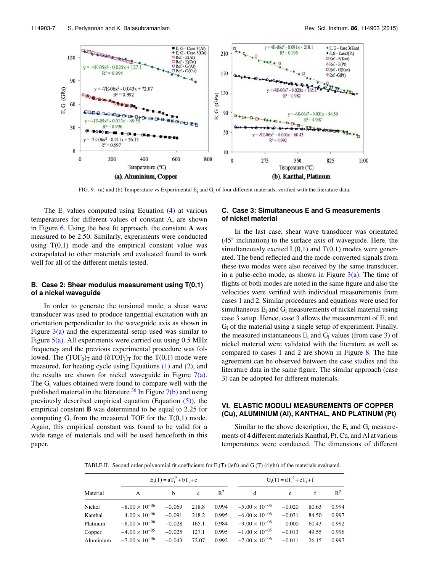

FIG. 9. (a) and (b) Temperature vs Experimental E<sup>i</sup> and G<sup>i</sup> of four different materials, verified with the literature data.

The  $E_i$  values computed using Equation  $(4)$  at various temperatures for different values of constant A, are shown in Figure  $6$ . Using the best fit approach, the constant A was measured to be 2.50. Similarly, experiments were conducted using  $T(0,1)$  mode and the empirical constant value was extrapolated to other materials and evaluated found to work well for all of the different metals tested.

# **B. Case 2: Shear modulus measurement using T(0,1) of a nickel waveguide**

In order to generate the torsional mode, a shear wave transducer was used to produce tangential excitation with an orientation perpendicular to the waveguide axis as shown in Figure  $3(a)$  and the experimental setup used was similar to Figure  $5(a)$ . All experiments were carried out using 0.5 MHz frequency and the previous experimental procedure was followed. The  $(TOF_0)_T$  and  $(\delta TOF_i)_T$  for the T(0,1) mode were measured, for heating cycle using Equations (1) and (2), and the results are shown for nickel waveguide in Figure  $7(a)$ . The  $G_i$  values obtained were found to compare well with the published material in the literature.<sup>36</sup> In Figure  $7(b)$  and using previously described empirical equation (Equation  $(5)$ ), the empirical constant B was determined to be equal to 2.25 for computing  $G_i$  from the measured TOF for the T(0,1) mode. Again, this empirical constant was found to be valid for a wide range of materials and will be used henceforth in this paper.

## **C. Case 3: Simultaneous E and G measurements of nickel material**

In the last case, shear wave transducer was orientated (45◦ inclination) to the surface axis of waveguide. Here, the simultaneously excited  $L(0,1)$  and  $T(0,1)$  modes were generated. The bend reflected and the mode-converted signals from these two modes were also received by the same transducer, in a pulse-echo mode, as shown in Figure  $3(a)$ . The time of flights of both modes are noted in the same figure and also the velocities were verified with individual measurements from cases 1 and 2. Similar procedures and equations were used for simultaneous  $E_i$  and  $G_i$  measurements of nickel material using case 3 setup. Hence, case 3 allows the measurement of  $E_i$  and  $G_i$  of the material using a single setup of experiment. Finally, the measured instantaneous  $E_i$  and  $G_i$  values (from case 3) of nickel material were validated with the literature as well as compared to cases 1 and 2 are shown in Figure 8. The fine agreement can be observed between the case studies and the literature data in the same figure. The similar approach (case 3) can be adopted for different materials.

## **VI. ELASTIC MODULI MEASUREMENTS OF COPPER (Cu), ALUMINIUM (Al), KANTHAL, AND PLATINUM (Pt)**

Similar to the above description, the  $E_i$  and  $G_i$  measurements of 4 different materials Kanthal, Pt, Cu, and Al at various temperatures were conducted. The dimensions of different

TABLE II. Second order polynomial fit coefficients for  $E_i(T)$  (left) and  $G_i(T)$  (right) of the materials evaluated.

|           | $E_i(T) = aT_i^2 + bT_i + c$ |          |              |       | $G_i(T) = dT_i^2 + eT_i + f$ |          |       |       |
|-----------|------------------------------|----------|--------------|-------|------------------------------|----------|-------|-------|
| Material  | A                            | h        | $\mathbf{c}$ | $R^2$ | d                            | e        | f     | $R^2$ |
| Nickel    | $-8.00 \times 10^{-06}$      | $-0.069$ | 218.8        | 0.994 | $-5.00 \times 10^{-06}$      | $-0.020$ | 80.63 | 0.994 |
| Kanthal   | $4.00 \times 10^{-06}$       | $-0.091$ | 218.2        | 0.995 | $-6.00 \times 10^{-06}$      | $-0.031$ | 84.50 | 0.997 |
| Platinum  | $-8.00 \times 10^{-06}$      | $-0.028$ | 165.1        | 0.984 | $-9.00 \times 10^{-06}$      | 0.000    | 60.43 | 0.992 |
| Copper    | $-4.00 \times 10^{-05}$      | $-0.025$ | 127.1        | 0.995 | $-1.00 \times 10^{-05}$      | $-0.013$ | 49.55 | 0.996 |
| Aluminium | $-7.00 \times 10^{-06}$      | $-0.043$ | 72.07        | 0.992 | $-7.00 \times 10^{-06}$      | $-0.011$ | 26.15 | 0.997 |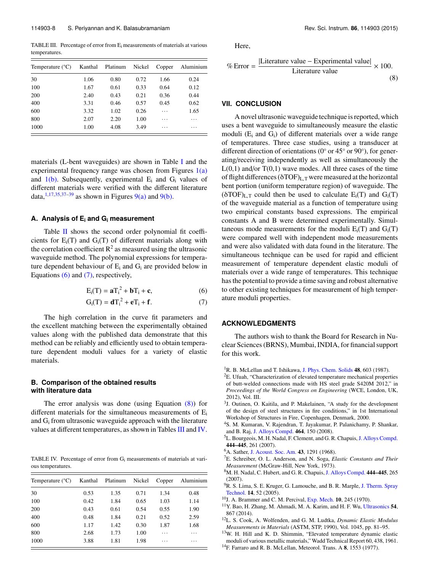TABLE III. Percentage of error from E<sup>i</sup> measurements of materials at various temperatures.

| Temperature $(^{\circ}C)$ | Kanthal | Platinum | Nickel | Copper | Aluminium |  |
|---------------------------|---------|----------|--------|--------|-----------|--|
| 30                        | 1.06    | 0.80     | 0.72   | 1.66   | 0.24      |  |
| 100                       | 1.67    | 0.61     | 0.33   | 0.64   | 0.12      |  |
| 200                       | 2.40    | 0.43     | 0.21   | 0.36   | 0.44      |  |
| 400                       | 3.31    | 0.46     | 0.57   | 0.45   | 0.62      |  |
| 600                       | 3.32    | 1.02     | 0.26   | .      | 1.65      |  |
| 800                       | 2.07    | 2.20     | 1.00   | .      | .         |  |
| 1000                      | 1.00    | 4.08     | 3.49   | .      | .         |  |

materials (L-bent waveguides) are shown in Table I and the experimental frequency range was chosen from Figures  $1(a)$ and  $1(b)$ . Subsequently, experimental  $E_i$  and  $G_i$  values of different materials were verified with the different literature data.<sup>1,17,35,37-39</sup> as shown in Figures 9(a) and 9(b).

## **A. Analysis of E<sup>i</sup> and G<sup>i</sup> measurement**

Table II shows the second order polynomial fit coefficients for  $E_i(T)$  and  $G_i(T)$  of different materials along with the correlation coefficient  $\mathbb{R}^2$  as measured using the ultrasonic waveguide method. The polynomial expressions for temperature dependent behaviour of  $E_i$  and  $G_i$  are provided below in Equations (6) and (7), respectively,

$$
E_i(T) = aT_i^2 + bT_i + c,\t\t(6)
$$

$$
G_i(T) = dT_i^2 + eT_i + f.
$$
 (7)

The high correlation in the curve fit parameters and the excellent matching between the experimentally obtained values along with the published data demonstrate that this method can be reliably and efficiently used to obtain temperature dependent moduli values for a variety of elastic materials.

### **B. Comparison of the obtained results with literature data**

The error analysis was done (using Equation (8)) for different materials for the simultaneous measurements of  $E_i$ and  $G_i$  from ultrasonic waveguide approach with the literature values at different temperatures, as shown in Tables III and IV.

TABLE IV. Percentage of error from G<sup>i</sup> measurements of materials at various temperatures.

| Temperature $(^{\circ}C)$ | Kanthal | Platinum | Nickel | Copper | Aluminium |
|---------------------------|---------|----------|--------|--------|-----------|
| 30                        | 0.53    | 1.35     | 0.71   | 1.34   | 0.48      |
| 100                       | 0.42    | 1.84     | 0.65   | 1.03   | 1.14      |
| 200                       | 0.43    | 0.61     | 0.54   | 0.55   | 1.90      |
| 400                       | 0.48    | 1.84     | 0.21   | 0.52   | 2.59      |
| 600                       | 1.17    | 1.42     | 0.30   | 1.87   | 1.68      |
| 800                       | 2.68    | 1.73     | 1.00   | .      | .         |
| 1000                      | 3.88    | 1.81     | 1.98   | .      | .         |

Here,

$$
\% Error = \frac{|\text{Literature value} - \text{Experimental value}|}{\text{Literature value}} \times 100.
$$
\n(8)

# **VII. CONCLUSION**

A novel ultrasonic waveguide technique is reported, which uses a bent waveguide to simultaneously measure the elastic moduli  $(E_i$  and  $G_i$ ) of different materials over a wide range of temperatures. Three case studies, using a transducer at different direction of orientations (0◦ or 45◦ or 90◦ ), for generating/receiving independently as well as simultaneously the  $L(0,1)$  and/or  $T(0,1)$  wave modes. All three cases of the time of flight differences ( $\delta \text{TOF}$ )<sub>L,T</sub> were measured at the horizontal bent portion (uniform temperature region) of waveguide. The  $(\delta \text{TOF})_{\text{L,T}}$  could then be used to calculate  $E_i(T)$  and  $G_i(T)$ of the waveguide material as a function of temperature using two empirical constants based expressions. The empirical constants A and B were determined experimentally. Simultaneous mode measurements for the moduli  $E_i(T)$  and  $G_i(T)$ were compared well with independent mode measurements and were also validated with data found in the literature. The simultaneous technique can be used for rapid and efficient measurement of temperature dependent elastic moduli of materials over a wide range of temperatures. This technique has the potential to provide a time saving and robust alternative to other existing techniques for measurement of high temperature moduli properties.

# **ACKNOWLEDGMENTS**

The authors wish to thank the Board for Research in Nuclear Sciences (BRNS), Mumbai, INDIA, for financial support for this work.

- <sup>3</sup>J. Outinen, O. Kaitila, and P. Makelainen, "A study for the development of the design of steel structures in fire conditions," in 1st International Workshop of Structures in Fire, Copenhagen, Denmark, 2000.
- <sup>4</sup>S. M. Kumaran, V. Rajendran, T. Jayakumar, P. Palanichamy, P. Shankar, and B. Raj, J. Alloys Compd. 464, 150 (2008).
- <sup>5</sup>L. Bourgeois, M. H. Nadal, F. Clement, and G. R. Chapuis, J. Alloys Compd. 444–445, 261 (2007).
- <sup>6</sup>A. Sather, J. Acoust. Soc. Am. 43, 1291 (1968).
- <sup>7</sup>E. Schreiber, O. L. Anderson, and N. Soga, *Elastic Constants and Their Measurement* (McGraw-Hill, New York, 1973).
- <sup>8</sup>M. H. Nadal, C. Hubert, and G. R. Chapuis, J. Alloys Compd. 444–445, 265  $(2007)$
- <sup>9</sup>R. S. Lima, S. E. Kruger, G. Lamouche, and B. R. Marple, J. Therm. Spray Technol. 14, 52 (2005).
- $10$ J. A. Brammer and C. M. Percival, Exp. Mech. 10, 245 (1970).
- <sup>11</sup>Y. Bao, H. Zhang, M. Ahmadi, M. A. Karim, and H. F. Wu, Ultrasonics 54, 867 (2014).
- <sup>12</sup>L. S. Cook, A. Wolfenden, and G. M. Ludtka, *Dynamic Elastic Modulus Measurements in Materials* (ASTM, STP, 1990), Vol. 1045, pp. 81–95.
- <sup>13</sup>W. H. Hill and K. D. Shimmin, "Elevated temperature dynamic elastic moduli of various metallic materials," Wadd Technical Report 60, 438, 1961.
- <sup>14</sup>F. Farraro and R. B. McLellan, Meteorol. Trans. A 8, 1553 (1977).

<sup>&</sup>lt;sup>1</sup>R. B. McLellan and T. Ishikawa, J. Phys. Chem. Solids  $48$ , 603 (1987).

<sup>2</sup>E. Ufuah, "Characterization of elevated temperature mechanical properties of butt-welded connections made with HS steel grade S420M 2012," in *Proceedings of the World Congress on Engineering* (WCE, London, UK, 2012), Vol. III.